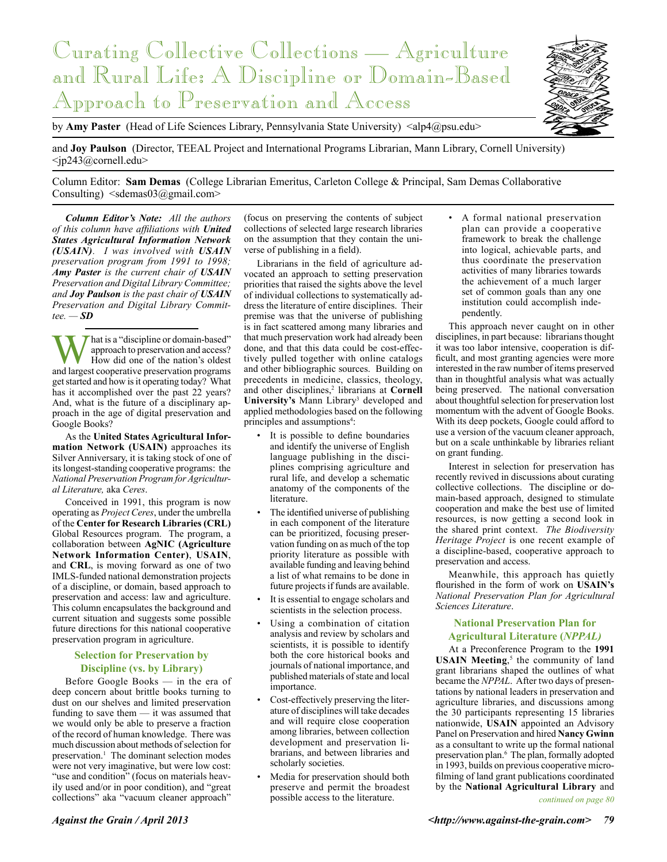

by **Amy Paster** (Head of Life Sciences Library, Pennsylvania State University) <alp4@psu.edu>

and **Joy Paulson** (Director, TEEAL Project and International Programs Librarian, Mann Library, Cornell University)  $<$ jp243@cornell.edu $>$ 

Column Editor: **Sam Demas** (College Librarian Emeritus, Carleton College & Principal, Sam Demas Collaborative Consulting)  $\leq$ sdemas03@gmail.com>

*Column Editor's Note: All the authors of this column have affiliations with United States Agricultural Information Network (USAIN). I was involved with USAIN preservation program from 1991 to 1998; Amy Paster is the current chair of USAIN Preservation and Digital Library Committee; and Joy Paulson is the past chair of USAIN Preservation and Digital Library Committee. — SD*

That is a "discipline or domain-based" approach to preservation and access? How did one of the nation's oldest and largest cooperative preservation programs get started and how is it operating today? What has it accomplished over the past 22 years? And, what is the future of a disciplinary approach in the age of digital preservation and Google Books?

As the **United States Agricultural Information Network (USAIN)** approaches its Silver Anniversary, it is taking stock of one of its longest-standing cooperative programs: the *National Preservation Program for Agricultural Literature,* aka *Ceres*.

Conceived in 1991, this program is now operating as *Project Ceres*, under the umbrella of the **Center for Research Libraries (CRL)** Global Resources program. The program, a collaboration between **AgNIC (Agriculture Network Information Center)**, **USAIN**, and **CRL**, is moving forward as one of two IMLS-funded national demonstration projects of a discipline, or domain, based approach to preservation and access: law and agriculture. This column encapsulates the background and current situation and suggests some possible future directions for this national cooperative preservation program in agriculture.

# **Selection for Preservation by Discipline (vs. by Library)**

Before Google Books — in the era of deep concern about brittle books turning to dust on our shelves and limited preservation funding to save them — it was assumed that we would only be able to preserve a fraction of the record of human knowledge. There was much discussion about methods of selection for preservation.<sup>1</sup> The dominant selection modes were not very imaginative, but were low cost: "use and condition" (focus on materials heavily used and/or in poor condition), and "great collections" aka "vacuum cleaner approach"

(focus on preserving the contents of subject collections of selected large research libraries on the assumption that they contain the universe of publishing in a field).

Librarians in the field of agriculture advocated an approach to setting preservation priorities that raised the sights above the level of individual collections to systematically address the literature of entire disciplines. Their premise was that the universe of publishing is in fact scattered among many libraries and that much preservation work had already been done, and that this data could be cost-effectively pulled together with online catalogs and other bibliographic sources. Building on precedents in medicine, classics, theology, and other disciplines,<sup>2</sup> librarians at **Cornell** University's Mann Library<sup>3</sup> developed and applied methodologies based on the following principles and assumptions<sup>4</sup>:

- It is possible to define boundaries and identify the universe of English language publishing in the disciplines comprising agriculture and rural life, and develop a schematic anatomy of the components of the literature.
- The identified universe of publishing in each component of the literature can be prioritized, focusing preservation funding on as much of the top priority literature as possible with available funding and leaving behind a list of what remains to be done in future projects if funds are available.
- It is essential to engage scholars and scientists in the selection process.
- Using a combination of citation analysis and review by scholars and scientists, it is possible to identify both the core historical books and journals of national importance, and published materials of state and local importance.
- Cost-effectively preserving the literature of disciplines will take decades and will require close cooperation among libraries, between collection development and preservation librarians, and between libraries and scholarly societies.
- Media for preservation should both preserve and permit the broadest possible access to the literature.

• A formal national preservation plan can provide a cooperative framework to break the challenge into logical, achievable parts, and thus coordinate the preservation activities of many libraries towards the achievement of a much larger set of common goals than any one institution could accomplish independently.

This approach never caught on in other disciplines, in part because: librarians thought it was too labor intensive, cooperation is difficult, and most granting agencies were more interested in the raw number of items preserved than in thoughtful analysis what was actually being preserved. The national conversation about thoughtful selection for preservation lost momentum with the advent of Google Books. With its deep pockets, Google could afford to use a version of the vacuum cleaner approach, but on a scale unthinkable by libraries reliant on grant funding.

Interest in selection for preservation has recently revived in discussions about curating collective collections. The discipline or domain-based approach, designed to stimulate cooperation and make the best use of limited resources, is now getting a second look in the shared print context. *The Biodiversity Heritage Project* is one recent example of a discipline-based, cooperative approach to preservation and access.

Meanwhile, this approach has quietly flourished in the form of work on **USAIN's** *National Preservation Plan for Agricultural Sciences Literature*.

# **National Preservation Plan for Agricultural Literature (***NPPAL)*

At a Preconference Program to the **1991**  USAIN Meeting,<sup>5</sup> the community of land grant librarians shaped the outlines of what became the *NPPAL*. After two days of presentations by national leaders in preservation and agriculture libraries, and discussions among the 30 participants representing 15 libraries nationwide, **USAIN** appointed an Advisory Panel on Preservation and hired **Nancy Gwinn** as a consultant to write up the formal national preservation plan.<sup>6</sup> The plan, formally adopted in 1993, builds on previous cooperative microfilming of land grant publications coordinated by the **National Agricultural Library** and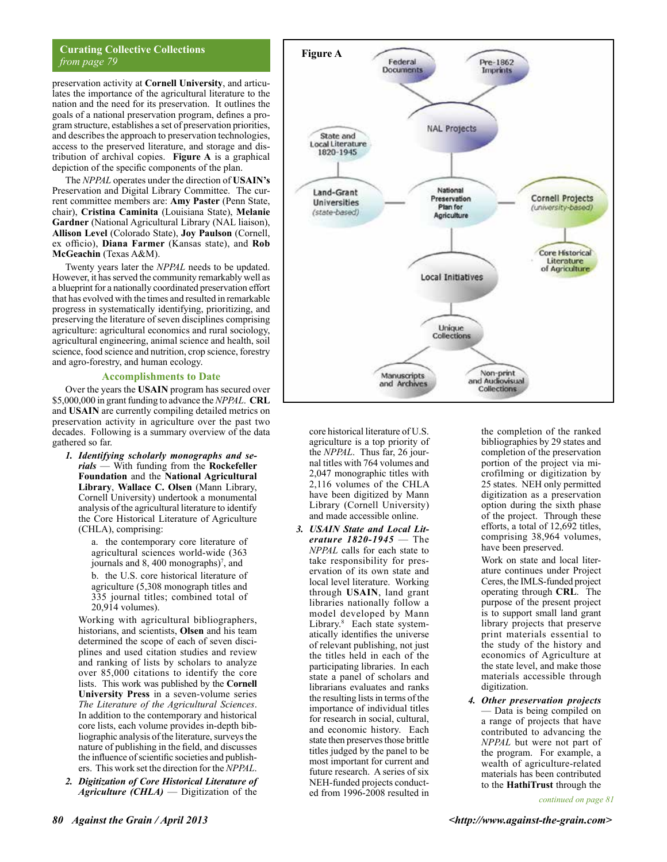# **Curating Collective Collections** *from page 79*

preservation activity at **Cornell University**, and articulates the importance of the agricultural literature to the nation and the need for its preservation. It outlines the goals of a national preservation program, defines a program structure, establishes a set of preservation priorities, and describes the approach to preservation technologies, access to the preserved literature, and storage and distribution of archival copies. **Figure A** is a graphical depiction of the specific components of the plan.

The *NPPAL* operates under the direction of **USAIN's** Preservation and Digital Library Committee. The current committee members are: **Amy Paster** (Penn State, chair), **Cristina Caminita** (Louisiana State), **Melanie Gardner** (National Agricultural Library (NAL liaison), **Allison Level** (Colorado State), **Joy Paulson** (Cornell, ex officio), **Diana Farmer** (Kansas state), and **Rob McGeachin** (Texas A&M).

Twenty years later the *NPPAL* needs to be updated. However, it has served the community remarkably well as a blueprint for a nationally coordinated preservation effort that has evolved with the times and resulted in remarkable progress in systematically identifying, prioritizing, and preserving the literature of seven disciplines comprising agriculture: agricultural economics and rural sociology, agricultural engineering, animal science and health, soil science, food science and nutrition, crop science, forestry and agro-forestry, and human ecology.

### **Accomplishments to Date**

Over the years the **USAIN** program has secured over \$5,000,000 in grant funding to advance the *NPPAL*. **CRL** and **USAIN** are currently compiling detailed metrics on preservation activity in agriculture over the past two decades. Following is a summary overview of the data gathered so far.

*1. Identifying scholarly monographs and serials* — With funding from the **Rockefeller Foundation** and the **National Agricultural Library**, **Wallace C. Olsen** (Mann Library, Cornell University) undertook a monumental analysis of the agricultural literature to identify the Core Historical Literature of Agriculture (CHLA), comprising:

> a. the contemporary core literature of agricultural sciences world-wide (363 journals and 8, 400 monographs)<sup>7</sup>, and b. the U.S. core historical literature of agriculture (5,308 monograph titles and 335 journal titles; combined total of 20,914 volumes).

Working with agricultural bibliographers, historians, and scientists, **Olsen** and his team determined the scope of each of seven disciplines and used citation studies and review and ranking of lists by scholars to analyze over 85,000 citations to identify the core lists. This work was published by the **Cornell University Press** in a seven-volume series *The Literature of the Agricultural Sciences*. In addition to the contemporary and historical core lists, each volume provides in-depth bibliographic analysis of the literature, surveys the nature of publishing in the field, and discusses the influence of scientific societies and publishers. This work set the direction for the *NPPAL*.

*2. Digitization of Core Historical Literature of Agriculture (CHLA)* — Digitization of the



core historical literature of U.S. agriculture is a top priority of the *NPPAL*. Thus far, 26 journal titles with 764 volumes and 2,047 monographic titles with 2,116 volumes of the CHLA have been digitized by Mann Library (Cornell University) and made accessible online.

*3. USAIN State and Local Literature 1820-1945* — The *NPPAL* calls for each state to take responsibility for preservation of its own state and local level literature. Working through **USAIN**, land grant libraries nationally follow a model developed by Mann Library.8 Each state systematically identifies the universe of relevant publishing, not just the titles held in each of the participating libraries. In each state a panel of scholars and librarians evaluates and ranks the resulting lists in terms of the importance of individual titles for research in social, cultural, and economic history. Each state then preserves those brittle titles judged by the panel to be most important for current and future research. A series of six NEH-funded projects conducted from 1996-2008 resulted in

the completion of the ranked bibliographies by 29 states and completion of the preservation portion of the project via microfilming or digitization by 25 states. NEH only permitted digitization as a preservation option during the sixth phase of the project. Through these efforts, a total of 12,692 titles, comprising 38,964 volumes, have been preserved.

Work on state and local literature continues under Project Ceres, the IMLS-funded project operating through **CRL**. The purpose of the present project is to support small land grant library projects that preserve print materials essential to the study of the history and economics of Agriculture at the state level, and make those materials accessible through digitization.

*4. Other preservation projects* — Data is being compiled on a range of projects that have contributed to advancing the *NPPAL* but were not part of the program. For example, a wealth of agriculture-related materials has been contributed to the **HathiTrust** through the